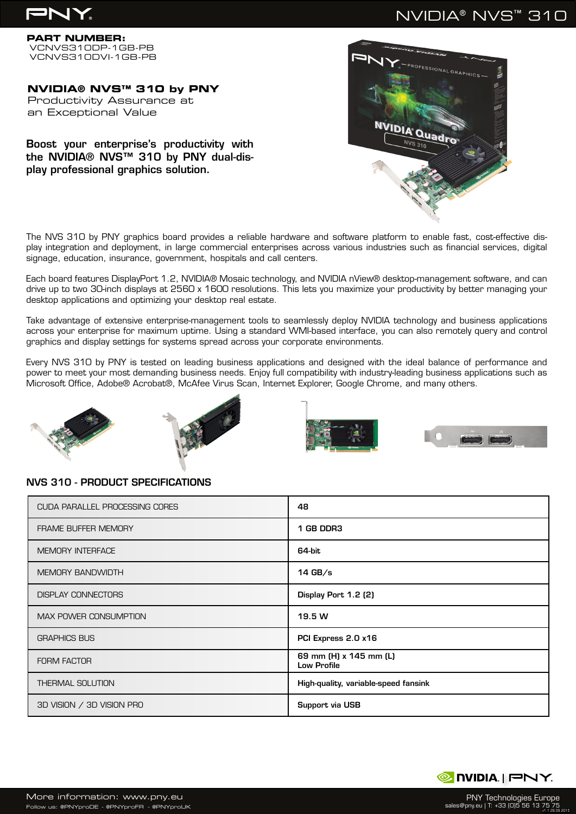# PN'

# NVIDIA® NVS™ 310

**PART NUMBER:** VCNVS310DP-1GB-PB VCNVS310DVI-1GB-PB

**NVIDIA® NVS™ 310 by PNY** Productivity Assurance at an Exceptional Value

## Boost your enterprise's productivity with the NVIDIA® NVS™ 310 by PNY dual-display professional graphics solution.

The NVS 310 by PNY graphics board provides a reliable hardware and software platform to enable fast, cost-effective display integration and deployment, in large commercial enterprises across various industries such as financial services, digital signage, education, insurance, government, hospitals and call centers.

Each board features DisplayPort 1.2, NVIDIA® Mosaic technology, and NVIDIA nView® desktop-management software, and can drive up to two 30-inch displays at 2560 x 1600 resolutions. This lets you maximize your productivity by better managing your desktop applications and optimizing your desktop real estate.

Take advantage of extensive enterprise-management tools to seamlessly deploy NVIDIA technology and business applications across your enterprise for maximum uptime. Using a standard WMI-based interface, you can also remotely query and control graphics and display settings for systems spread across your corporate environments.

Every NVS 310 by PNY is tested on leading business applications and designed with the ideal balance of performance and power to meet your most demanding business needs. Enjoy full compatibility with industry-leading business applications such as Microsoft Office, Adobe® Acrobat®, McAfee Virus Scan, Internet Explorer, Google Chrome, and many others.







## NVS 310 - PRODUCT SPECIFICATIONS

| <b>CUDA PARALLEL PROCESSING CORES</b> | 48                                           |
|---------------------------------------|----------------------------------------------|
| <b>FRAME BUFFER MEMORY</b>            | 1 GB DDR3                                    |
| <b>MEMORY INTERFACE</b>               | 64 bit                                       |
| <b>MEMORY BANDWIDTH</b>               | $14$ GB/s                                    |
| <b>DISPLAY CONNECTORS</b>             | Display Port 1.2 (2)                         |
| <b>MAX POWER CONSUMPTION</b>          | 19.5 W                                       |
| <b>GRAPHICS BUS</b>                   | PCI Express 2.0 x16                          |
| <b>FORM FACTOR</b>                    | 69 mm (H) x 145 mm (L)<br><b>Low Profile</b> |
| <b>THERMAL SOLUTION</b>               | High-quality, variable-speed fansink         |
| 3D VISION / 3D VISION PRO             | Support via USB                              |



PNY Technologies Europe sales@pny.eu | T: +33 (0)5 56 13 75 75 v1.1 28.09.2015

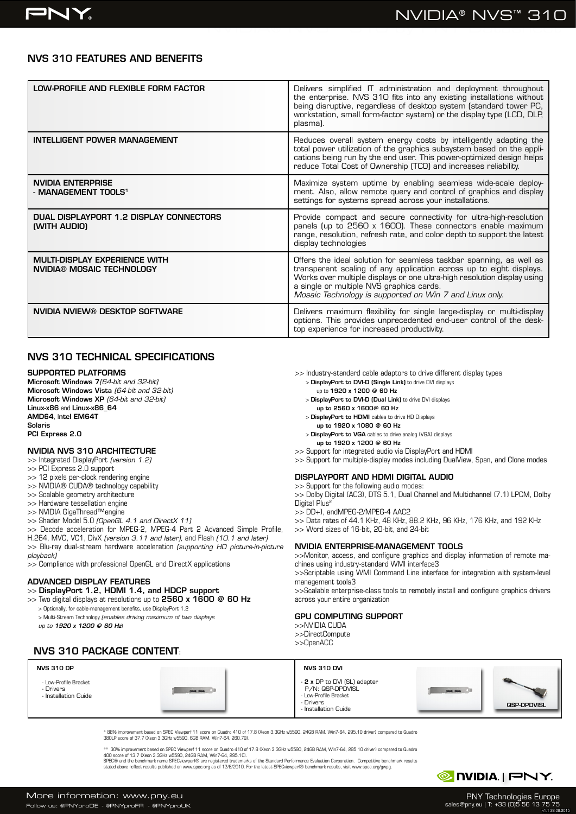## NVS 310 FEATURES AND BENEFITS

| LOW-PROFILE AND FLEXIBLE FORM FACTOR                              | Delivers simplified IT administration and deployment throughout<br>the enterprise. NVS 310 fits into any existing installations without<br>being disruptive, regardless of desktop system (standard tower PC,<br>workstation, small form-factor system) or the display type (LCD, DLP,<br>plasma).                           |
|-------------------------------------------------------------------|------------------------------------------------------------------------------------------------------------------------------------------------------------------------------------------------------------------------------------------------------------------------------------------------------------------------------|
| <b>INTELLIGENT POWER MANAGEMENT</b>                               | Reduces overall system energy costs by intelligently adapting the<br>total power utilization of the graphics subsystem based on the appli-<br>cations being run by the end user. This power-optimized design helps<br>reduce Total Cost of Ownership (TCO) and increases reliability.                                        |
| <b>NVIDIA ENTERPRISE</b><br>- MANAGEMENT TOOLS <sup>1</sup>       | Maximize system uptime by enabling seamless wide-scale deploy-<br>ment. Also, allow remote query and control of graphics and display<br>settings for systems spread across your installations.                                                                                                                               |
| DUAL DISPLAYPORT 1.2 DISPLAY CONNECTORS<br>(WITH AUDIO)           | Provide compact and secure connectivity for ultra-high-resolution<br>panels (up to 2560 x 1600). These connectors enable maximum<br>range, resolution, refresh rate, and color depth to support the latest<br>display technologies                                                                                           |
| <b>MULTI-DISPLAY EXPERIENCE WITH</b><br>NVIDIA® MOSAIC TECHNOLOGY | Offers the ideal solution for seamless taskbar spanning, as well as<br>transparent scaling of any application across up to eight displays.<br>Works over multiple displays or one ultra-high resolution display using<br>a single or multiple NVS graphics cards.<br>Mosaic Technology is supported on Win 7 and Linux only. |
| NVIDIA NVIEW® DESKTOP SOFTWARE                                    | Delivers maximum flexibility for single large-display or multi-display<br>options. This provides unprecedented end-user control of the desk-<br>top experience for increased productivity.                                                                                                                                   |

## NVS 310 TECHNICAL SPECIFICATIONS

#### SUPPORTED PLATFORMS

Microsoft Windows 7*(64-bit and 32-bit)* Microsoft Windows Vista *(64-bit and 32-bit)* Microsoft Windows XP *(64-bit and 32-bit)* Linux-x86 and Linux-x86\_64 AMD64, Intel EM64T Solaris PCI Express 2.0

#### NVIDIA NVS 310 ARCHITECTURE

>> Integrated DisplayPort *(version 1.2)*

- >> PCI Express 2.0 support
- >> 12 pixels per-clock rendering engine
- >> NVIDIA® CUDA® technology capability
- >> Scalable geometry architecture
- >> Hardware tessellation engine
- >> NVIDIA GigaThread™engine
- >> Shader Model 5.0 *(OpenGL 4.1 and DirectX 11)*
- >> Decode acceleration for MPEG-2, MPEG-4 Part 2 Advanced Simple Profile,
- H.264, MVC, VC1, DivX *(version 3.11 and later),* and Flash *(10.1 and later)*

>> Blu-ray dual-stream hardware acceleration *(supporting HD picture-in-picture playback)*

>> Compliance with professional OpenGL and DirectX applications

#### ADVANCED DISPLAY FEATURES

### >> DisplayPort 1.2, HDMI 1.4, and HDCP support

 $>$  Two digital displays at resolutions up to 2560 x 1600  $@$  60 Hz

- > Optionally, for cable-management benefits, use DisplayPort 1.2
- > Multi-Stream Technology *(enables driving maximum of two displays*
- *up to 1920 x 1200 @ 60 Hz*)
- >> Industry-standard cable adaptors to drive different display types > DisplayPort to DVI-D (Single Link) to drive DVI displays
	- up to 1920 x 1200 @ 60 Hz
	- > DisplayPort to DVI-D (Dual Link) to drive DVI displays up to 2560 x 1600@ 60 Hz
	- > DisplayPort to HDMI cables to drive HD Displays
	- up to 1920 x 1080 @ 60 Hz
	- > DisplayPort to VGA cables to drive analog (VGA) displays
	- up to 1920 x 1200 @ 60 Hz

>> Support for integrated audio via DisplayPort and HDMI

>> Support for multiple-display modes including DualView, Span, and Clone modes

#### DISPLAYPORT AND HDMI DIGITAL AUDIO

>> Support for the following audio modes: >> Dolby Digital (AC3), DTS 5.1, Dual Channel and Multichannel (7.1) LPCM, Dolby Digital Plus<sup>2</sup>

>> DD+), andMPEG-2/MPEG-4 AAC2

>> Data rates of 44.1 KHz, 48 KHz, 88.2 KHz, 96 KHz, 176 KHz, and 192 KHz

>> Word sizes of 16-bit, 20-bit, and 24-bit

#### NVIDIA ENTERPRISE-MANAGEMENT TOOLS

>>Monitor, access, and configure graphics and display information of remote machines using industry-standard WMI interface3 >>Scriptable using WMI Command Line interface for integration with system-level

management tools3

>>Scalable enterprise-class tools to remotely install and configure graphics drivers across your entire organization

#### GPU COMPUTING SUPPORT

>>NVIDIA CUDA >>DirectCompute >>OpenACC

NVS 310 DVI

- Drivers

### NVS 310 PACKAGE CONTENT:

#### NVS 310 DP

- Low-Profile Bracket

- Drivers - Installation Guide



- 2 x DP to DVI (SL) adapter P/N: QSP-DPDVISL - Low-Profile Bracket



\* 88% improvement based on SPEC Viewperf 11 score on Quadro 410 of 17.8 (Xeon 3.3GHz w5590, 24GB RAM, Win7-64, 295.10 driver) compared to Quadro<br>380LP score of 37.7 (Xeon 3.3GHz w5590, 6GB RAM, Win7-64, 260.79).

\*\* 30% improvement based on SPEC Viewperf 11 score on Quadro 410 of 17.8 (Xeon 3.3GHz w5590, 24GB RAM, Win7-64, 295.10 driver) compared to Quadro 400 score of 13.7 (Xeon 3.3GHz w5590, 24GB RAM, Win7-64, 295.10).<br>SPEC® and the benchmark name SPECviewper® are registered trademarks of the Standard Performance Evaluation Corporation. Competitive benchmark results

SPEC® and the benchmark name SPECviewperf® are registered trademarks of the Standard Performance Evaluation Corporation. Competitive benchmark results<br>stated above reflect results published on www.spec.org as of 12/8/2010.